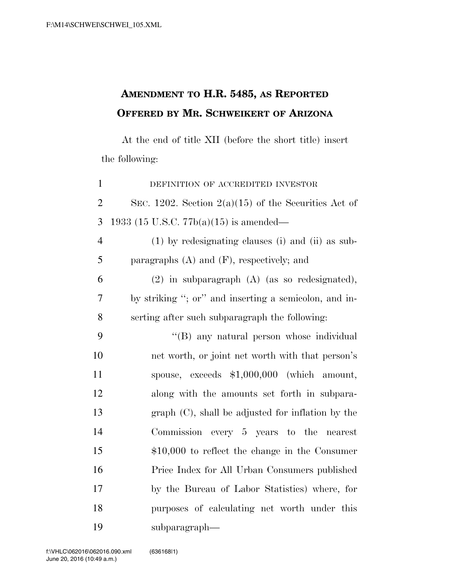## **AMENDMENT TO H.R. 5485, AS REPORTED OFFERED BY MR. SCHWEIKERT OF ARIZONA**

At the end of title XII (before the short title) insert the following:

 DEFINITION OF ACCREDITED INVESTOR 2 SEC. 1202. Section  $2(a)(15)$  of the Securities Act of 1933 (15 U.S.C. 77b(a)(15) is amended— (1) by redesignating clauses (i) and (ii) as sub- paragraphs (A) and (F), respectively; and (2) in subparagraph (A) (as so redesignated), by striking ''; or'' and inserting a semicolon, and in- serting after such subparagraph the following: ''(B) any natural person whose individual net worth, or joint net worth with that person's spouse, exceeds \$1,000,000 (which amount, along with the amounts set forth in subpara- graph (C), shall be adjusted for inflation by the Commission every 5 years to the nearest \$10,000 to reflect the change in the Consumer Price Index for All Urban Consumers published by the Bureau of Labor Statistics) where, for purposes of calculating net worth under this subparagraph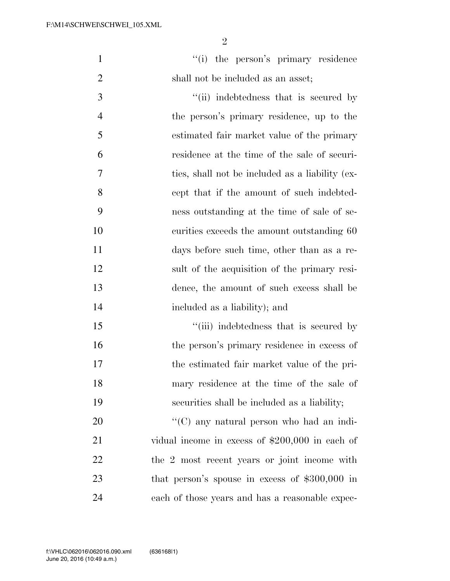|                                    |  | "(i) the person's primary residence |
|------------------------------------|--|-------------------------------------|
| shall not be included as an asset; |  |                                     |

3 ''(ii) indebtedness that is secured by the person's primary residence, up to the estimated fair market value of the primary residence at the time of the sale of securi- ties, shall not be included as a liability (ex- cept that if the amount of such indebted- ness outstanding at the time of sale of se- curities exceeds the amount outstanding 60 days before such time, other than as a re- sult of the acquisition of the primary resi- dence, the amount of such excess shall be included as a liability); and

15 ''(iii) indebtedness that is secured by 16 the person's primary residence in excess of the estimated fair market value of the pri- mary residence at the time of the sale of securities shall be included as a liability;

 $\cdot$  (C) any natural person who had an indi- vidual income in excess of \$200,000 in each of 22 the 2 most recent years or joint income with that person's spouse in excess of \$300,000 in each of those years and has a reasonable expec